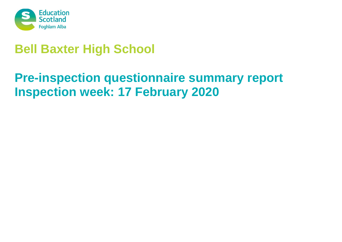

# **Bell Baxter High School**

# **Pre-inspection questionnaire summary report Inspection week: 17 February 2020**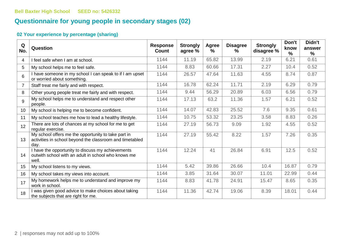# **Questionnaire for young people in secondary stages (02)**

| Q<br>No.        | Question                                                                                                                | <b>Response</b><br>Count | <b>Strongly</b><br>agree % | Agree<br>$\frac{9}{6}$ | <b>Disagree</b><br>℅ | <b>Strongly</b><br>disagree % | Don't<br>know<br>% | Didn't<br>answer<br>$\%$ |
|-----------------|-------------------------------------------------------------------------------------------------------------------------|--------------------------|----------------------------|------------------------|----------------------|-------------------------------|--------------------|--------------------------|
| 4               | I feel safe when I am at school.                                                                                        | 1144                     | 11.19                      | 65.82                  | 13.99                | 2.19                          | 6.21               | 0.61                     |
| 5               | My school helps me to feel safe.                                                                                        | 1144                     | 8.83                       | 60.66                  | 17.31                | 2.27                          | 10.4               | 0.52                     |
| 6               | I have someone in my school I can speak to if I am upset<br>or worried about something.                                 | 1144                     | 26.57                      | 47.64                  | 11.63                | 4.55                          | 8.74               | 0.87                     |
| $\overline{7}$  | Staff treat me fairly and with respect.                                                                                 | 1144                     | 16.78                      | 62.24                  | 11.71                | 2.19                          | 6.29               | 0.79                     |
| 8               | Other young people treat me fairly and with respect.                                                                    | 1144                     | 9.44                       | 56.29                  | 20.89                | 6.03                          | 6.56               | 0.79                     |
| 9               | My school helps me to understand and respect other<br>people.                                                           | 1144                     | 17.13                      | 63.2                   | 11.36                | 1.57                          | 6.21               | 0.52                     |
| 10              | My school is helping me to become confident.                                                                            | 1144                     | 14.07                      | 42.83                  | 25.52                | 7.6                           | 9.35               | 0.61                     |
| 11              | My school teaches me how to lead a healthy lifestyle.                                                                   | 1144                     | 10.75                      | 53.32                  | 23.25                | 3.58                          | 8.83               | 0.26                     |
| 12 <sup>°</sup> | There are lots of chances at my school for me to get<br>regular exercise.                                               | 1144                     | 27.19                      | 56.73                  | 9.09                 | 1.92                          | 4.55               | 0.52                     |
| 13              | My school offers me the opportunity to take part in<br>activities in school beyond the classroom and timetabled<br>day. | 1144                     | 27.19                      | 55.42                  | 8.22                 | 1.57                          | 7.26               | 0.35                     |
| 14              | I have the opportunity to discuss my achievements<br>outwith school with an adult in school who knows me<br>well.       | 1144                     | 12.24                      | 41                     | 26.84                | 6.91                          | 12.5               | 0.52                     |
| 15              | My school listens to my views.                                                                                          | 1144                     | 5.42                       | 39.86                  | 26.66                | 10.4                          | 16.87              | 0.79                     |
| 16              | My school takes my views into account.                                                                                  | 1144                     | 3.85                       | 31.64                  | 30.07                | 11.01                         | 22.99              | 0.44                     |
| 17              | My homework helps me to understand and improve my<br>work in school.                                                    | 1144                     | 8.83                       | 41.78                  | 24.91                | 15.47                         | 8.65               | 0.35                     |
| 18              | I was given good advice to make choices about taking<br>the subjects that are right for me.                             | 1144                     | 11.36                      | 42.74                  | 19.06                | 8.39                          | 18.01              | 0.44                     |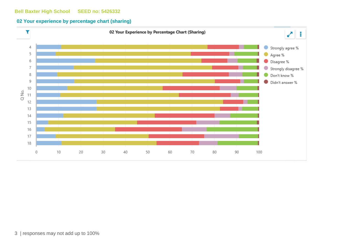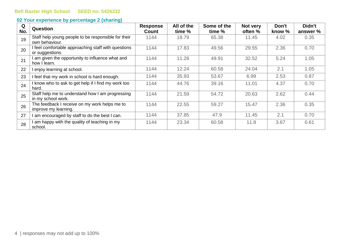| Q<br>No. | <b>Question</b>                                                        | <b>Response</b><br><b>Count</b> | All of the<br>time % | Some of the<br>time % | Not very<br>often % | Don't<br>know % | Didn't<br>answer % |
|----------|------------------------------------------------------------------------|---------------------------------|----------------------|-----------------------|---------------------|-----------------|--------------------|
| 19       | Staff help young people to be responsible for their<br>own behaviour.  | 1144                            | 18.79                | 65.38                 | 11.45               | 4.02            | 0.35               |
| 20       | I feel comfortable approaching staff with questions<br>or suggestions. | 1144                            | 17.83                | 49.56                 | 29.55               | 2.36            | 0.70               |
| 21       | I am given the opportunity to influence what and<br>how I learn.       | 1144                            | 11.28                | 49.91                 | 32.52               | 5.24            | 1.05               |
| 22       | I enjoy learning at school.                                            | 1144                            | 12.24                | 60.58                 | 24.04               | 2.1             | 1.05               |
| 23       | I feel that my work in school is hard enough.                          | 1144                            | 35.93                | 53.67                 | 6.99                | 2.53            | 0.87               |
| 24       | I know who to ask to get help if I find my work too<br>hard.           | 1144                            | 44.76                | 39.16                 | 11.01               | 4.37            | 0.70               |
| 25       | Staff help me to understand how I am progressing<br>in my school work. | 1144                            | 21.59                | 54.72                 | 20.63               | 2.62            | 0.44               |
| 26       | The feedback I receive on my work helps me to<br>improve my learning.  | 1144                            | 22.55                | 59.27                 | 15.47               | 2.36            | 0.35               |
| 27       | I am encouraged by staff to do the best I can.                         | 1144                            | 37.85                | 47.9                  | 11.45               | 2.1             | 0.70               |
| 28       | I am happy with the quality of teaching in my<br>school.               | 1144                            | 23.34                | 60.58                 | 11.8                | 3.67            | 0.61               |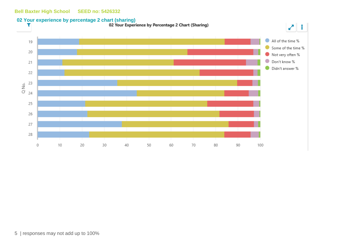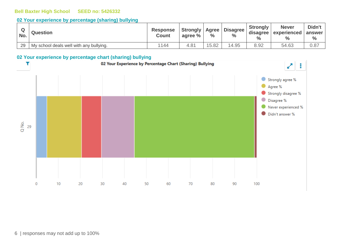#### **02 Your experience by percentage (sharing) bullying**

| No. | <b>Question</b>                         | <b>Response</b><br><b>Count</b> | <b>Strongly   Agree  </b><br>agree % | $\%$  | <b>Disagree</b><br>$\frac{6}{6}$ | <b>Strongly</b><br>$\frac{0}{0}$ | <b>Never</b><br>disagree   experienced | Didn't<br>answer<br>$\frac{6}{6}$ |
|-----|-----------------------------------------|---------------------------------|--------------------------------------|-------|----------------------------------|----------------------------------|----------------------------------------|-----------------------------------|
| 29  | My school deals well with any bullying. | 1144                            | 4.8 <sup>4</sup>                     | 15.82 | 14.95                            | 8.92                             | 54.63                                  | 0.87                              |

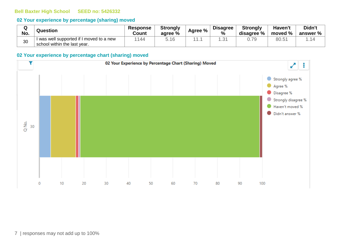#### **02 Your experience by percentage (sharing) moved**

| Q<br>No. | <b>Question</b>                        | <b>Response</b><br>Count | <b>Strongly</b><br>agree % | Agree % | <b>Disagree</b><br>$\frac{9}{6}$ | <b>Strongly</b><br>disagree % | Haven't<br>moved % | Didn't<br>answer $\%$ $\parallel$ |
|----------|----------------------------------------|--------------------------|----------------------------|---------|----------------------------------|-------------------------------|--------------------|-----------------------------------|
| 30       | was well supported if I moved to a new | 144                      |                            |         | .3'                              |                               | 80.5               | -14                               |
|          | school within the last year.           |                          |                            |         |                                  |                               |                    |                                   |

#### **02 Your experience by percentage chart (sharing) moved**

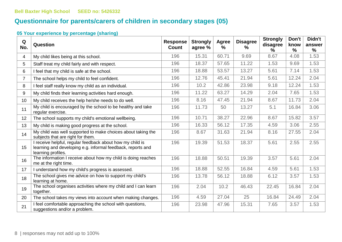# **Questionnaire for parents/carers of children in secondary stages (05)**

| Q<br>No.       | Question                                                                                                                                       | <b>Response</b><br><b>Count</b> | <b>Strongly</b><br>agree % | Agree<br>$\frac{0}{0}$ | <b>Disagree</b><br>$\%$ | <b>Strongly</b><br>disagree<br>℅ | Don't<br>know<br>% | Didn't<br>answer<br>% |
|----------------|------------------------------------------------------------------------------------------------------------------------------------------------|---------------------------------|----------------------------|------------------------|-------------------------|----------------------------------|--------------------|-----------------------|
| 4              | My child likes being at this school.                                                                                                           | 196                             | 15.31                      | 60.71                  | 9.69                    | 8.67                             | 4.08               | 1.53                  |
| 5              | Staff treat my child fairly and with respect.                                                                                                  | 196                             | 18.37                      | 57.65                  | 11.22                   | 1.53                             | 9.69               | 1.53                  |
| 6              | I feel that my child is safe at the school.                                                                                                    | 196                             | 18.88                      | 53.57                  | 13.27                   | 5.61                             | 7.14               | 1.53                  |
| $\overline{7}$ | The school helps my child to feel confident.                                                                                                   | 196                             | 12.76                      | 45.41                  | 21.94                   | 5.61                             | 12.24              | 2.04                  |
| 8              | I feel staff really know my child as an individual.                                                                                            | 196                             | 10.2                       | 42.86                  | 23.98                   | 9.18                             | 12.24              | 1.53                  |
| 9              | My child finds their learning activities hard enough.                                                                                          | 196                             | 11.22                      | 63.27                  | 14.29                   | 2.04                             | 7.65               | 1.53                  |
| 10             | My child receives the help he/she needs to do well.                                                                                            | 196                             | 8.16                       | 47.45                  | 21.94                   | 8.67                             | 11.73              | 2.04                  |
| 11             | My child is encouraged by the school to be healthy and take<br>regular exercise.                                                               | 196                             | 11.73                      | 50                     | 13.27                   | 5.1                              | 16.84              | 3.06                  |
| 12             | The school supports my child's emotional wellbeing.                                                                                            | 196                             | 10.71                      | 38.27                  | 22.96                   | 8.67                             | 15.82              | 3.57                  |
| 13             | My child is making good progress at the school.                                                                                                | 196                             | 16.33                      | 56.12                  | 17.35                   | 4.59                             | 3.06               | 2.55                  |
| 14             | My child was well supported to make choices about taking the<br>subjects that are right for them.                                              | 196                             | 8.67                       | 31.63                  | 21.94                   | 8.16                             | 27.55              | 2.04                  |
| 15             | I receive helpful, regular feedback about how my child is<br>learning and developing e.g. informal feedback, reports and<br>learning profiles. | 196                             | 19.39                      | 51.53                  | 18.37                   | 5.61                             | 2.55               | 2.55                  |
| 16             | The information I receive about how my child is doing reaches<br>me at the right time.                                                         | 196                             | 18.88                      | 50.51                  | 19.39                   | 3.57                             | 5.61               | 2.04                  |
| 17             | I understand how my child's progress is assessed.                                                                                              | 196                             | 18.88                      | 52.55                  | 16.84                   | 4.59                             | 5.61               | 1.53                  |
| 18             | The school gives me advice on how to support my child's<br>learning at home.                                                                   | 196                             | 13.78                      | 56.12                  | 18.88                   | 6.12                             | 3.57               | 1.53                  |
| 19             | The school organises activities where my child and I can learn<br>together.                                                                    | 196                             | 2.04                       | 10.2                   | 46.43                   | 22.45                            | 16.84              | 2.04                  |
| 20             | The school takes my views into account when making changes.                                                                                    | 196                             | 4.59                       | 27.04                  | 25                      | 16.84                            | 24.49              | 2.04                  |
| 21             | I feel comfortable approaching the school with questions,<br>suggestions and/or a problem.                                                     | 196                             | 23.98                      | 47.96                  | 15.31                   | 7.65                             | 3.57               | 1.53                  |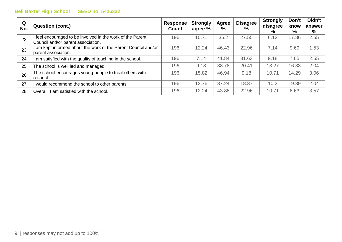| Q<br>No. | <b>Question (cont.)</b>                                                                          | <b>Response</b><br>Count | <b>Strongly</b><br>agree % | Agree<br>% | <b>Disagree</b><br>$\%$ | <b>Strongly</b><br>disagree<br>% | Don't<br>know<br>% | Didn't<br>answer<br>$\%$ |
|----------|--------------------------------------------------------------------------------------------------|--------------------------|----------------------------|------------|-------------------------|----------------------------------|--------------------|--------------------------|
| 22       | I feel encouraged to be involved in the work of the Parent<br>Council and/or parent association. | 196                      | 10.71                      | 35.2       | 27.55                   | 6.12                             | 17.86              | 2.55                     |
| 23       | am kept informed about the work of the Parent Council and/or<br>parent association.              | 196                      | 12.24                      | 46.43      | 22.96                   | 7.14                             | 9.69               | 1.53                     |
| 24       | am satisfied with the quality of teaching in the school.                                         | 196                      | 7.14                       | 41.84      | 31.63                   | 9.18                             | 7.65               | 2.55                     |
| 25       | The school is well led and managed.                                                              | 196                      | 9.18                       | 38.78      | 20.41                   | 13.27                            | 16.33              | 2.04                     |
| 26       | The school encourages young people to treat others with<br>respect.                              | 196                      | 15.82                      | 46.94      | 9.18                    | 10.71                            | 14.29              | 3.06                     |
| 27       | I would recommend the school to other parents.                                                   | 196                      | 12.76                      | 37.24      | 18.37                   | 10.2                             | 19.39              | 2.04                     |
| 28       | Overall, I am satisfied with the school.                                                         | 196                      | 12.24                      | 43.88      | 22.96                   | 10.71                            | 6.63               | 3.57                     |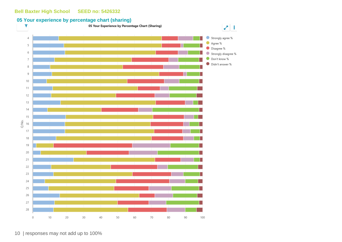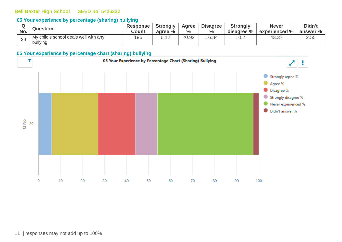#### **05 Your experience by percentage (sharing) bullying**

| No.           | <b>Question</b>                                    | <b>Response</b><br>Count | <b>Strongly</b><br>agree % | Agree<br>$\frac{0}{0}$ | <b>Disagree</b><br>$\%$ | <b>Strongly</b><br>disagree % | <b>Never</b><br>experienced % | Didn't<br>answer % |
|---------------|----------------------------------------------------|--------------------------|----------------------------|------------------------|-------------------------|-------------------------------|-------------------------------|--------------------|
| $\cap$<br>-49 | My child's school deals well with any<br>bullying. | 196                      | R 19                       | 20.92                  | 16.84                   | 10.2                          | 43.37                         | 2.55               |

#### **05 Your experience by percentage chart (sharing) bullying**

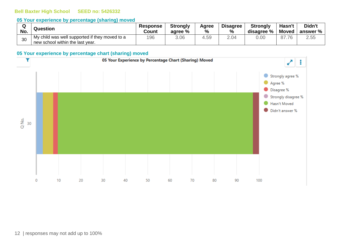#### **05 Your experience by percentage (sharing) moved**

| $\sim$ | <b>Question</b>                                                                    | <b>Response</b> | <b>Strongly</b> | Agree | <b>Disagree</b> | <b>Strongly</b> | Hasn't | Didn't     |
|--------|------------------------------------------------------------------------------------|-----------------|-----------------|-------|-----------------|-----------------|--------|------------|
| No.    |                                                                                    | Count           | agree %         | %     | $\%$            | disagree %      | Moved  | answer % l |
| 30     | My child was well supported if they moved to a<br>new school within the last year. | 196             | 3.06            | 4.59  | 2.04            | 0.00            | 87.76  | 2.55       |

#### **05 Your experience by percentage chart (sharing) moved**

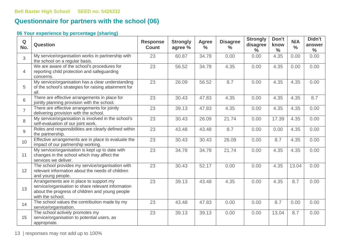# **Questionnaire for partners with the school (06)**

| Q<br>No.       | <b>Question</b>                                                                                                                                                      | <b>Response</b><br><b>Count</b> | <b>Strongly</b><br>agree % | Agree<br>$\frac{0}{0}$ | <b>Disagree</b><br>$\frac{0}{0}$ | <b>Strongly</b><br>disagree<br>$\frac{6}{6}$ | Don't<br>know<br>$\frac{6}{6}$ | N/A<br>$\frac{0}{0}$ | Didn't<br>answer<br>$\frac{6}{6}$ |
|----------------|----------------------------------------------------------------------------------------------------------------------------------------------------------------------|---------------------------------|----------------------------|------------------------|----------------------------------|----------------------------------------------|--------------------------------|----------------------|-----------------------------------|
| 3              | My service/organisation works in partnership with<br>the school on a regular basis.                                                                                  | 23                              | 60.87                      | 34.78                  | 0.00                             | 0.00                                         | 4.35                           | 0.00                 | 0.00                              |
| $\overline{4}$ | We are aware of the school's procedures for<br>reporting child protection and safeguarding<br>concerns.                                                              | 23                              | 56.52                      | 34.78                  | 4.35                             | 0.00                                         | 4.35                           | 0.00                 | 0.00                              |
| 5              | My service/organisation has a clear understanding<br>of the school's strategies for raising attainment for<br>all.                                                   | 23                              | 26.09                      | 56.52                  | 8.7                              | 0.00                                         | 4.35                           | 4.35                 | 0.00                              |
| 6              | There are effective arrangements in place for<br>jointly planning provision with the school.                                                                         | 23                              | 30.43                      | 47.83                  | 4.35                             | 0.00                                         | 4.35                           | 4.35                 | 8.7                               |
| $\overline{7}$ | There are effective arrangements for jointly<br>delivering provision with the school.                                                                                | 23                              | 39.13                      | 47.83                  | 4.35                             | 0.00                                         | 4.35                           | 4.35                 | 0.00                              |
| 8              | My service/organisation is involved in the school's<br>self-evaluation of our joint work.                                                                            | 23                              | 30.43                      | 26.09                  | 21.74                            | 0.00                                         | 17.39                          | 4.35                 | 0.00                              |
| 9              | Roles and responsibilities are clearly defined within<br>the partnership.                                                                                            | 23                              | 43.48                      | 43.48                  | 8.7                              | 0.00                                         | 0.00                           | 4.35                 | 0.00                              |
| 10             | Effective arrangements are in place to evaluate the<br>impact of our partnership working.                                                                            | 23                              | 30.43                      | 30.43                  | 26.09                            | 0.00                                         | 8.7                            | 4.35                 | 0.00                              |
| 11             | My service/organisation is kept up to date with<br>changes in the school which may affect the<br>services we deliver.                                                | $\overline{23}$                 | 34.78                      | 34.78                  | 21.74                            | 0.00                                         | 4.35                           | 4.35                 | 0.00                              |
| 12             | The school provides my service/organisation with<br>relevant information about the needs of children<br>and young people.                                            | 23                              | 30.43                      | 52.17                  | 0.00                             | 0.00                                         | 4.35                           | 13.04                | 0.00                              |
| 13             | Arrangements are in place to support my<br>service/organisation to share relevant information<br>about the progress of children and young people<br>with the school. | 23                              | 39.13                      | 43.48                  | 4.35                             | 0.00                                         | 4.35                           | 8.7                  | 0.00                              |
| 14             | The school values the contribution made by my<br>service/organisation.                                                                                               | 23                              | 43.48                      | 47.83                  | 0.00                             | 0.00                                         | 8.7                            | 0.00                 | 0.00                              |
| 15             | The school actively promotes my<br>service/organisation to potential users, as<br>appropriate.                                                                       | 23                              | 39.13                      | 39.13                  | 0.00                             | 0.00                                         | 13.04                          | 8.7                  | 0.00                              |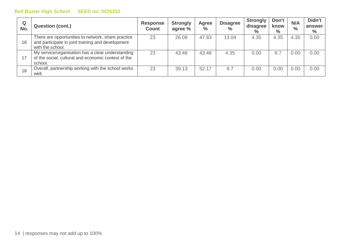| Q<br>No. | <b>Question (cont.)</b>                                                                                                     | <b>Response</b><br><b>Count</b> | <b>Strongly</b><br>agree % | Agree<br>$\frac{0}{0}$ | <b>Disagree</b><br>$\frac{0}{0}$ | <b>Strongly</b><br>disagree<br>$\%$ | Don't<br>know<br>$\%$ | N/A<br>$\frac{0}{0}$ | Didn't<br>answer<br>$\%$ |
|----------|-----------------------------------------------------------------------------------------------------------------------------|---------------------------------|----------------------------|------------------------|----------------------------------|-------------------------------------|-----------------------|----------------------|--------------------------|
| 16       | There are opportunities to network, share practice<br>and participate in joint training and development<br>with the school. | 23                              | 26.09                      | 47.83                  | 13.04                            | 4.35                                | 4.35                  | 4.35                 | 0.00                     |
| 17       | My service/organisation has a clear understanding<br>of the social, cultural and economic context of the<br>school.         | 23                              | 43.48                      | 43.48                  | 4.35                             | 0.00                                | 8.7                   | 0.00                 | 0.00                     |
| 18       | Overall, partnership working with the school works<br>well.                                                                 | 23                              | 39.13                      | 52.17                  | 8.7                              | 0.00                                | 0.00                  | 0.00                 | 0.00                     |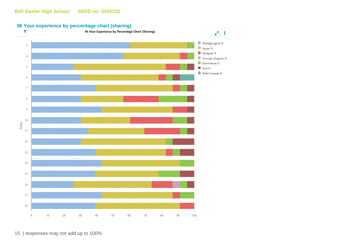#### **06 Your experience by percentage chart (sharing)**



15 | responses may not add up to 100%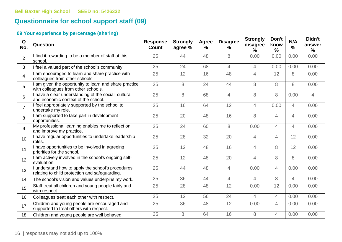# **Questionnaire for school support staff (09)**

| Q<br>No.        | Question                                                                                            | <b>Response</b><br>Count | <b>Strongly</b><br>agree % | Agree<br>$\%$ | <b>Disagree</b><br>$\%$ | <b>Strongly</b><br>disagree<br>$\%$ | Don't<br>know<br>$\frac{9}{6}$ | N/A<br>$\frac{9}{6}$ | Didn't<br>answer<br>$\%$ |
|-----------------|-----------------------------------------------------------------------------------------------------|--------------------------|----------------------------|---------------|-------------------------|-------------------------------------|--------------------------------|----------------------|--------------------------|
| $\overline{2}$  | I find it rewarding to be a member of staff at this<br>school.                                      | 25                       | 44                         | 48            | 8                       | 0.00                                | 0.00                           | 0.00                 | 0.00                     |
| 3               | I feel a valued part of the school's community.                                                     | 25                       | 24                         | 68            | $\overline{4}$          | $\overline{4}$                      | 0.00                           | 0.00                 | 0.00                     |
| $\overline{4}$  | I am encouraged to learn and share practice with<br>colleagues from other schools.                  | 25                       | 12                         | 16            | 48                      | $\overline{4}$                      | 12                             | 8                    | 0.00                     |
| 5               | I am given the opportunity to learn and share practice<br>with colleagues from other schools.       | 25                       | 8                          | 24            | 44                      | 8                                   | 8                              | 8                    | 0.00                     |
| 6               | I have a clear understanding of the social, cultural<br>and economic context of the school.         | 25                       | 8                          | 68            | $\overline{4}$          | 8                                   | 8                              | 0.00                 | $\overline{4}$           |
| $\overline{7}$  | I feel appropriately supported by the school to<br>undertake my role.                               | 25                       | 16                         | 64            | 12                      | $\overline{4}$                      | 0.00                           | 4                    | 0.00                     |
| 8               | I am supported to take part in development<br>opportunities.                                        | 25                       | 20                         | 48            | 16                      | 8                                   | $\overline{4}$                 | 4                    | 0.00                     |
| 9               | My professional learning enables me to reflect on<br>and improve my practice.                       | 25                       | 24                         | 60            | 8                       | 0.00                                | $\overline{4}$                 | 4                    | 0.00                     |
| 10 <sup>1</sup> | I have regular opportunities to undertake leadership<br>roles.                                      | 25                       | 28                         | 32            | 20                      | $\overline{4}$                      | $\overline{4}$                 | 12                   | 0.00                     |
| 11              | I have opportunities to be involved in agreeing<br>priorities for the school.                       | 25                       | 12                         | 48            | 16                      | $\overline{4}$                      | 8                              | 12                   | 0.00                     |
| 12              | I am actively involved in the school's ongoing self-<br>evaluation.                                 | 25                       | 12                         | 48            | 20                      | $\overline{4}$                      | 8                              | 8                    | 0.00                     |
| 13              | I understand how to apply the school's procedures<br>relating to child protection and safeguarding. | 25                       | 44                         | 48            | $\overline{4}$          | 0.00                                | $\overline{4}$                 | 0.00                 | 0.00                     |
| 14              | The school's vision and values underpins my work.                                                   | 25                       | 36                         | 44            | $\overline{4}$          | $\overline{4}$                      | 8                              | $\overline{4}$       | 0.00                     |
| 15              | Staff treat all children and young people fairly and<br>with respect.                               | 25                       | 28                         | 48            | 12                      | 0.00                                | 12                             | 0.00                 | 0.00                     |
| 16              | Colleagues treat each other with respect.                                                           | 25                       | 12                         | 56            | 24                      | $\overline{4}$                      | $\overline{4}$                 | 0.00                 | 0.00                     |
| 17              | Children and young people are encouraged and<br>supported to treat others with respect.             | 25                       | 36                         | 48            | 12                      | 0.00                                | $\overline{4}$                 | 0.00                 | 0.00                     |
| 18              | Children and young people are well behaved.                                                         | 25                       | 8                          | 64            | 16                      | 8                                   | $\overline{4}$                 | 0.00                 | 0.00                     |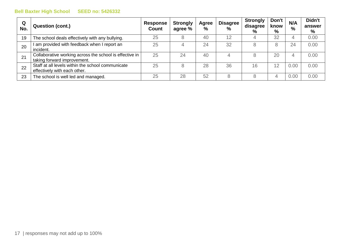| Q<br>No. | <b>Question (cont.)</b>                                                                | <b>Response</b><br><b>Count</b> | <b>Strongly</b><br>agree % | <b>Agree</b><br>% | <b>Disagree</b><br>$\%$ | <b>Strongly</b><br>disagree<br>% | Don't<br>know<br>% | N/A<br>$\%$ | Didn't<br>answer<br>% |
|----------|----------------------------------------------------------------------------------------|---------------------------------|----------------------------|-------------------|-------------------------|----------------------------------|--------------------|-------------|-----------------------|
| 19       | The school deals effectively with any bullying.                                        | 25                              |                            | 40                | 12                      | 4                                | 32                 |             | 0.00                  |
| 20       | am provided with feedback when I report an<br>incident.                                | 25                              |                            | 24                | 32                      | 8                                |                    | 24          | 0.00                  |
| 21       | Collaborative working across the school is effective in<br>taking forward improvement. | 25                              | 24                         | 40                | 4                       | 8                                | 20                 |             | 0.00                  |
| 22       | Staff at all levels within the school communicate<br>effectively with each other.      | 25                              |                            | 28                | 36                      | 16                               | 12                 | 0.00        | 0.00                  |
| 23       | The school is well led and managed.                                                    | 25                              | 28                         | 52                | 8                       | 8                                |                    | 0.00        | 0.00                  |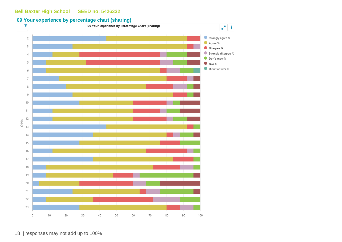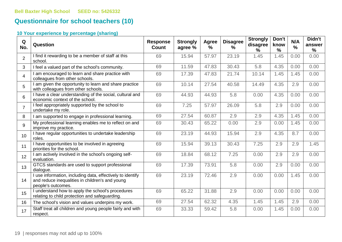# **Questionnaire for school teachers (10)**

| Q<br>No.        | <b>Question</b>                                                                                                                     | <b>Response</b><br><b>Count</b> | <b>Strongly</b><br>agree % | Agree<br>$\%$ | <b>Disagree</b><br>$\%$ | <b>Strongly</b><br>disagree<br>% | Don't<br>know<br>$\frac{9}{6}$ | N/A<br>$\frac{0}{0}$ | Didn't<br>answer<br>$\%$ |
|-----------------|-------------------------------------------------------------------------------------------------------------------------------------|---------------------------------|----------------------------|---------------|-------------------------|----------------------------------|--------------------------------|----------------------|--------------------------|
| $\overline{2}$  | I find it rewarding to be a member of staff at this<br>school.                                                                      | 69                              | 15.94                      | 57.97         | 23.19                   | 1.45                             | 1.45                           | 0.00                 | 0.00                     |
| 3               | I feel a valued part of the school's community.                                                                                     | 69                              | 11.59                      | 47.83         | 30.43                   | 5.8                              | 4.35                           | 0.00                 | 0.00                     |
| $\overline{4}$  | am encouraged to learn and share practice with<br>colleagues from other schools.                                                    | 69                              | 17.39                      | 47.83         | 21.74                   | 10.14                            | 1.45                           | 1.45                 | 0.00                     |
| 5               | am given the opportunity to learn and share practice<br>with colleagues from other schools.                                         | 69                              | 10.14                      | 27.54         | 40.58                   | 14.49                            | 4.35                           | 2.9                  | 0.00                     |
| 6               | I have a clear understanding of the social, cultural and<br>economic context of the school.                                         | 69                              | 44.93                      | 44.93         | 5.8                     | 0.00                             | 4.35                           | 0.00                 | 0.00                     |
| $\overline{7}$  | I feel appropriately supported by the school to<br>undertake my role.                                                               | 69                              | 7.25                       | 57.97         | 26.09                   | 5.8                              | 2.9                            | 0.00                 | 0.00                     |
| 8               | I am supported to engage in professional learning.                                                                                  | 69                              | 27.54                      | 60.87         | 2.9                     | 2.9                              | 4.35                           | 1.45                 | 0.00                     |
| 9               | My professional learning enables me to reflect on and<br>improve my practice.                                                       | 69                              | 30.43                      | 65.22         | 0.00                    | 2.9                              | 0.00                           | 1.45                 | 0.00                     |
| 10 <sup>°</sup> | I have regular opportunities to undertake leadership<br>roles.                                                                      | 69                              | 23.19                      | 44.93         | 15.94                   | 2.9                              | 4.35                           | 8.7                  | 0.00                     |
| 11              | I have opportunities to be involved in agreeing<br>priorities for the school.                                                       | 69                              | 15.94                      | 39.13         | 30.43                   | 7.25                             | 2.9                            | 2.9                  | 1.45                     |
| 12              | I am actively involved in the school's ongoing self-<br>evaluation.                                                                 | 69                              | 18.84                      | 68.12         | 7.25                    | 0.00                             | 2.9                            | 2.9                  | 0.00                     |
| 13              | GTCS standards are used to support professional<br>dialogue.                                                                        | 69                              | 17.39                      | 73.91         | 5.8                     | 0.00                             | 2.9                            | 0.00                 | 0.00                     |
| 14              | I use information, including data, effectively to identify<br>and reduce inequalities in children's and young<br>people's outcomes. | 69                              | 23.19                      | 72.46         | 2.9                     | 0.00                             | 0.00                           | 1.45                 | 0.00                     |
| 15              | I understand how to apply the school's procedures<br>relating to child protection and safeguarding.                                 | 69                              | 65.22                      | 31.88         | 2.9                     | 0.00                             | 0.00                           | 0.00                 | 0.00                     |
| 16              | The school's vision and values underpins my work.                                                                                   | 69                              | 27.54                      | 62.32         | 4.35                    | 1.45                             | 1.45                           | 2.9                  | 0.00                     |
| 17              | Staff treat all children and young people fairly and with<br>respect.                                                               | 69                              | 33.33                      | 59.42         | 5.8                     | 0.00                             | 1.45                           | 0.00                 | 0.00                     |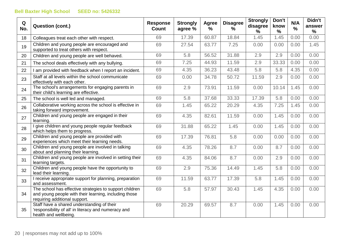| Q<br>No. | <b>Question (cont.)</b>                                                                                                                           | <b>Response</b><br><b>Count</b> | <b>Strongly</b><br>agree % | Agree<br>$\%$ | <b>Disagree</b><br>% | <b>Strongly</b><br>disagree<br>% | Don't<br>know<br>$\%$ | N/A<br>% | Didn't<br>answer<br>$\%$ |
|----------|---------------------------------------------------------------------------------------------------------------------------------------------------|---------------------------------|----------------------------|---------------|----------------------|----------------------------------|-----------------------|----------|--------------------------|
| 18       | Colleagues treat each other with respect.                                                                                                         | 69                              | 17.39                      | 60.87         | 18.84                | 1.45                             | 1.45                  | 0.00     | 0.00                     |
| 19       | Children and young people are encouraged and<br>supported to treat others with respect.                                                           | 69                              | 27.54                      | 63.77         | 7.25                 | 0.00                             | 0.00                  | 0.00     | 1.45                     |
| 20       | Children and young people are well behaved.                                                                                                       | 69                              | 5.8                        | 56.52         | 31.88                | 2.9                              | 2.9                   | 0.00     | 0.00                     |
| 21       | The school deals effectively with any bullying.                                                                                                   | 69                              | 7.25                       | 44.93         | 11.59                | 2.9                              | 33.33                 | 0.00     | 0.00                     |
| 22       | I am provided with feedback when I report an incident.                                                                                            | 69                              | 4.35                       | 36.23         | 43.48                | 5.8                              | 5.8                   | 4.35     | 0.00                     |
| 23       | Staff at all levels within the school communicate<br>effectively with each other.                                                                 | 69                              | 0.00                       | 34.78         | 50.72                | 11.59                            | 2.9                   | 0.00     | 0.00                     |
| 24       | The school's arrangements for engaging parents in<br>their child's learning are effective.                                                        | 69                              | 2.9                        | 73.91         | 11.59                | 0.00                             | 10.14                 | 1.45     | 0.00                     |
| 25       | The school is well led and managed.                                                                                                               | 69                              | 5.8                        | 37.68         | 33.33                | 17.39                            | 5.8                   | 0.00     | 0.00                     |
| 26       | Collaborative working across the school is effective in<br>taking forward improvement.                                                            | 69                              | 1.45                       | 65.22         | 20.29                | 4.35                             | 7.25                  | 1.45     | 0.00                     |
| 27       | Children and young people are engaged in their<br>learning.                                                                                       | 69                              | 4.35                       | 82.61         | 11.59                | 0.00                             | 1.45                  | 0.00     | 0.00                     |
| 28       | I give children and young people regular feedback<br>which helps them to progress.                                                                | 69                              | 31.88                      | 65.22         | 1.45                 | 0.00                             | 1.45                  | 0.00     | 0.00                     |
| 29       | Children and young people are provided with<br>experiences which meet their learning needs.                                                       | 69                              | 17.39                      | 76.81         | 5.8                  | 0.00                             | 0.00                  | 0.00     | 0.00                     |
| 30       | Children and young people are involved in talking<br>about and planning their learning.                                                           | 69                              | 4.35                       | 78.26         | 8.7                  | 0.00                             | 8.7                   | 0.00     | 0.00                     |
| 31       | Children and young people are involved in setting their<br>learning targets.                                                                      | 69                              | 4.35                       | 84.06         | 8.7                  | 0.00                             | 2.9                   | 0.00     | 0.00                     |
| 32       | Children and young people have the opportunity to<br>lead their learning.                                                                         | 69                              | 2.9                        | 75.36         | 14.49                | 1.45                             | 5.8                   | 0.00     | 0.00                     |
| 33       | I receive appropriate support for planning, preparation<br>and assessment.                                                                        | 69                              | 11.59                      | 63.77         | 17.39                | 5.8                              | 1.45                  | 0.00     | 0.00                     |
| 34       | The school has effective strategies to support children<br>and young people with their learning, including those<br>requiring additional support. | 69                              | 5.8                        | 57.97         | 30.43                | 1.45                             | 4.35                  | 0.00     | 0.00                     |
| 35       | Staff have a shared understanding of their<br>'responsibility of all' in literacy and numeracy and<br>health and wellbeing.                       | 69                              | 20.29                      | 69.57         | 8.7                  | 0.00                             | 1.45                  | 0.00     | 0.00                     |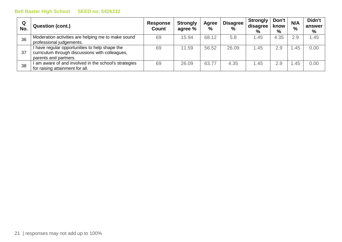| Q<br>No. | <b>Question (cont.)</b>                                                                                                    | <b>Response</b><br><b>Count</b> | <b>Strongly</b><br>agree % | <b>Agree</b><br>$\%$ | <b>Disagree</b><br>$\%$ | <b>Strongly</b><br>disagree<br>% | Don't<br>know<br>% | N/A<br>$\%$ | Didn't<br>answer<br>% |
|----------|----------------------------------------------------------------------------------------------------------------------------|---------------------------------|----------------------------|----------------------|-------------------------|----------------------------------|--------------------|-------------|-----------------------|
| 36       | Moderation activities are helping me to make sound<br>professional judgements.                                             | 69                              | 15.94                      | 68.12                | 5.8                     | .45                              | 4.35               | 2.9         | 1.45                  |
| 37       | I have regular opportunities to help shape the<br>curriculum through discussions with colleagues,<br>parents and partners. | 69                              | 11.59                      | 56.52                | 26.09                   | 1.45                             | 2.9                | .45         | 0.00                  |
| 38       | am aware of and involved in the school's strategies<br>for raising attainment for all.                                     | 69                              | 26.09                      | 63.77                | 4.35                    | 1.45                             | 2.9                | .45         | 0.00                  |